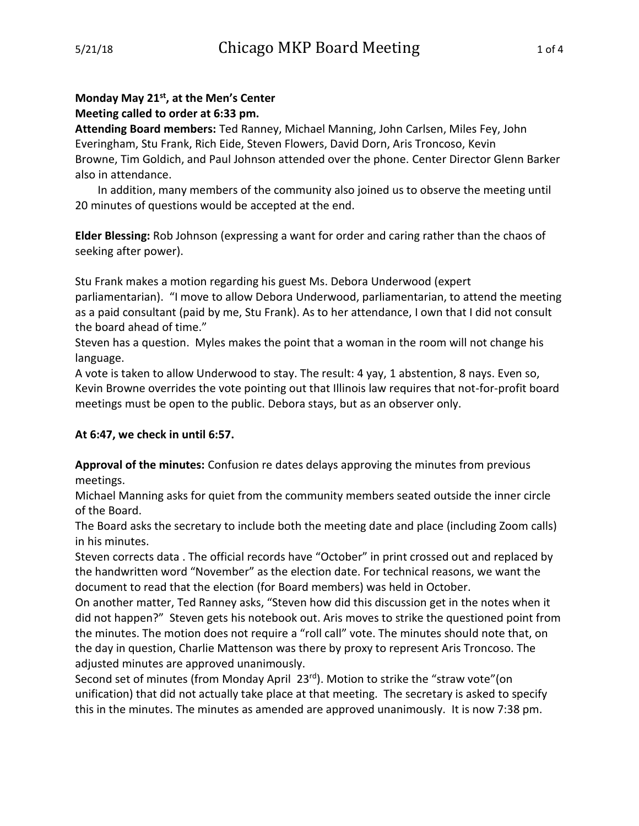# **Monday May 21st, at the Men's Center Meeting called to order at 6:33 pm.**

**Attending Board members:** Ted Ranney, Michael Manning, John Carlsen, Miles Fey, John Everingham, Stu Frank, Rich Eide, Steven Flowers, David Dorn, Aris Troncoso, Kevin Browne, Tim Goldich, and Paul Johnson attended over the phone. Center Director Glenn Barker also in attendance.

In addition, many members of the community also joined us to observe the meeting until 20 minutes of questions would be accepted at the end.

**Elder Blessing:** Rob Johnson (expressing a want for order and caring rather than the chaos of seeking after power).

Stu Frank makes a motion regarding his guest Ms. Debora Underwood (expert parliamentarian). "I move to allow Debora Underwood, parliamentarian, to attend the meeting as a paid consultant (paid by me, Stu Frank). As to her attendance, I own that I did not consult the board ahead of time."

Steven has a question. Myles makes the point that a woman in the room will not change his language.

A vote is taken to allow Underwood to stay. The result: 4 yay, 1 abstention, 8 nays. Even so, Kevin Browne overrides the vote pointing out that Illinois law requires that not-for-profit board meetings must be open to the public. Debora stays, but as an observer only.

# **At 6:47, we check in until 6:57.**

**Approval of the minutes:** Confusion re dates delays approving the minutes from previous meetings.

Michael Manning asks for quiet from the community members seated outside the inner circle of the Board.

The Board asks the secretary to include both the meeting date and place (including Zoom calls) in his minutes.

Steven corrects data . The official records have "October" in print crossed out and replaced by the handwritten word "November" as the election date. For technical reasons, we want the document to read that the election (for Board members) was held in October.

On another matter, Ted Ranney asks, "Steven how did this discussion get in the notes when it did not happen?" Steven gets his notebook out. Aris moves to strike the questioned point from the minutes. The motion does not require a "roll call" vote. The minutes should note that, on the day in question, Charlie Mattenson was there by proxy to represent Aris Troncoso. The adjusted minutes are approved unanimously.

Second set of minutes (from Monday April 23rd). Motion to strike the "straw vote"(on unification) that did not actually take place at that meeting. The secretary is asked to specify this in the minutes. The minutes as amended are approved unanimously. It is now 7:38 pm.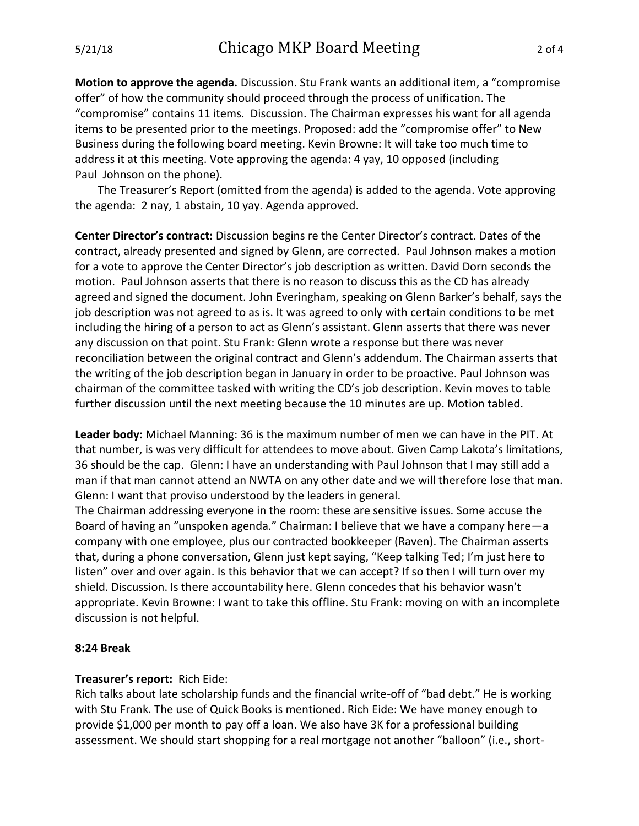**Motion to approve the agenda.** Discussion. Stu Frank wants an additional item, a "compromise offer" of how the community should proceed through the process of unification. The "compromise" contains 11 items. Discussion. The Chairman expresses his want for all agenda items to be presented prior to the meetings. Proposed: add the "compromise offer" to New Business during the following board meeting. Kevin Browne: It will take too much time to address it at this meeting. Vote approving the agenda: 4 yay, 10 opposed (including Paul Johnson on the phone).

The Treasurer's Report (omitted from the agenda) is added to the agenda. Vote approving the agenda: 2 nay, 1 abstain, 10 yay. Agenda approved.

**Center Director's contract:** Discussion begins re the Center Director's contract. Dates of the contract, already presented and signed by Glenn, are corrected. Paul Johnson makes a motion for a vote to approve the Center Director's job description as written. David Dorn seconds the motion. Paul Johnson asserts that there is no reason to discuss this as the CD has already agreed and signed the document. John Everingham, speaking on Glenn Barker's behalf, says the job description was not agreed to as is. It was agreed to only with certain conditions to be met including the hiring of a person to act as Glenn's assistant. Glenn asserts that there was never any discussion on that point. Stu Frank: Glenn wrote a response but there was never reconciliation between the original contract and Glenn's addendum. The Chairman asserts that the writing of the job description began in January in order to be proactive. Paul Johnson was chairman of the committee tasked with writing the CD's job description. Kevin moves to table further discussion until the next meeting because the 10 minutes are up. Motion tabled.

**Leader body:** Michael Manning: 36 is the maximum number of men we can have in the PIT. At that number, is was very difficult for attendees to move about. Given Camp Lakota's limitations, 36 should be the cap. Glenn: I have an understanding with Paul Johnson that I may still add a man if that man cannot attend an NWTA on any other date and we will therefore lose that man. Glenn: I want that proviso understood by the leaders in general.

The Chairman addressing everyone in the room: these are sensitive issues. Some accuse the Board of having an "unspoken agenda." Chairman: I believe that we have a company here—a company with one employee, plus our contracted bookkeeper (Raven). The Chairman asserts that, during a phone conversation, Glenn just kept saying, "Keep talking Ted; I'm just here to listen" over and over again. Is this behavior that we can accept? If so then I will turn over my shield. Discussion. Is there accountability here. Glenn concedes that his behavior wasn't appropriate. Kevin Browne: I want to take this offline. Stu Frank: moving on with an incomplete discussion is not helpful.

#### **8:24 Break**

### **Treasurer's report:** Rich Eide:

Rich talks about late scholarship funds and the financial write-off of "bad debt." He is working with Stu Frank. The use of Quick Books is mentioned. Rich Eide: We have money enough to provide \$1,000 per month to pay off a loan. We also have 3K for a professional building assessment. We should start shopping for a real mortgage not another "balloon" (i.e., short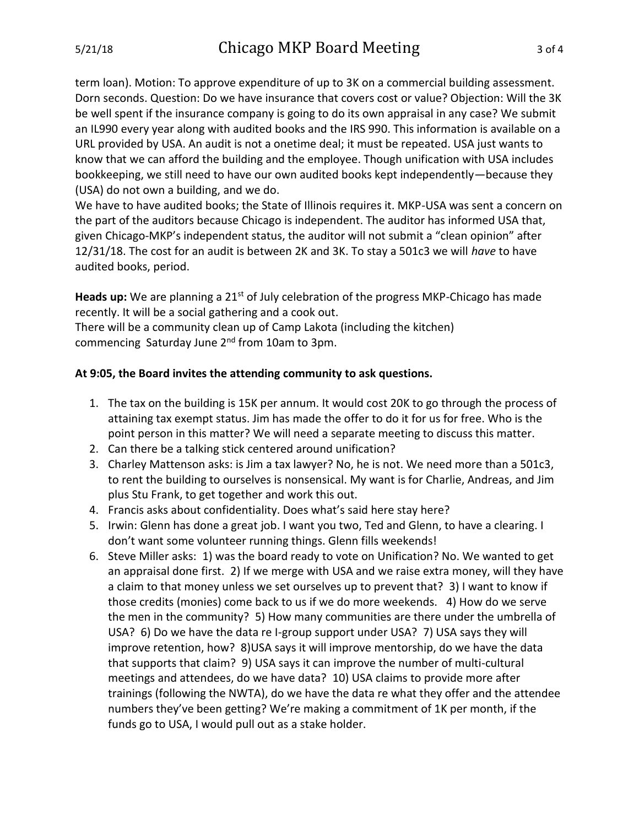term loan). Motion: To approve expenditure of up to 3K on a commercial building assessment. Dorn seconds. Question: Do we have insurance that covers cost or value? Objection: Will the 3K be well spent if the insurance company is going to do its own appraisal in any case? We submit an IL990 every year along with audited books and the IRS 990. This information is available on a URL provided by USA. An audit is not a onetime deal; it must be repeated. USA just wants to know that we can afford the building and the employee. Though unification with USA includes bookkeeping, we still need to have our own audited books kept independently—because they (USA) do not own a building, and we do.

We have to have audited books; the State of Illinois requires it. MKP-USA was sent a concern on the part of the auditors because Chicago is independent. The auditor has informed USA that, given Chicago-MKP's independent status, the auditor will not submit a "clean opinion" after 12/31/18. The cost for an audit is between 2K and 3K. To stay a 501c3 we will *have* to have audited books, period.

Heads up: We are planning a 21<sup>st</sup> of July celebration of the progress MKP-Chicago has made recently. It will be a social gathering and a cook out.

There will be a community clean up of Camp Lakota (including the kitchen) commencing Saturday June 2<sup>nd</sup> from 10am to 3pm.

## **At 9:05, the Board invites the attending community to ask questions.**

- 1. The tax on the building is 15K per annum. It would cost 20K to go through the process of attaining tax exempt status. Jim has made the offer to do it for us for free. Who is the point person in this matter? We will need a separate meeting to discuss this matter.
- 2. Can there be a talking stick centered around unification?
- 3. Charley Mattenson asks: is Jim a tax lawyer? No, he is not. We need more than a 501c3, to rent the building to ourselves is nonsensical. My want is for Charlie, Andreas, and Jim plus Stu Frank, to get together and work this out.
- 4. Francis asks about confidentiality. Does what's said here stay here?
- 5. Irwin: Glenn has done a great job. I want you two, Ted and Glenn, to have a clearing. I don't want some volunteer running things. Glenn fills weekends!
- 6. Steve Miller asks: 1) was the board ready to vote on Unification? No. We wanted to get an appraisal done first. 2) If we merge with USA and we raise extra money, will they have a claim to that money unless we set ourselves up to prevent that? 3) I want to know if those credits (monies) come back to us if we do more weekends. 4) How do we serve the men in the community? 5) How many communities are there under the umbrella of USA? 6) Do we have the data re I-group support under USA? 7) USA says they will improve retention, how? 8)USA says it will improve mentorship, do we have the data that supports that claim? 9) USA says it can improve the number of multi-cultural meetings and attendees, do we have data? 10) USA claims to provide more after trainings (following the NWTA), do we have the data re what they offer and the attendee numbers they've been getting? We're making a commitment of 1K per month, if the funds go to USA, I would pull out as a stake holder.